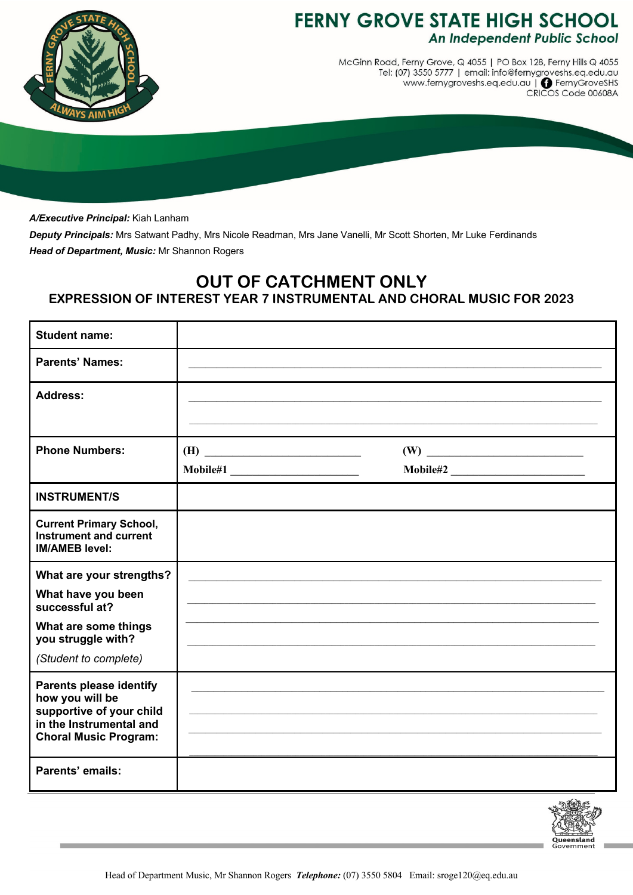

## **FERNY GROVE STATE HIGH SCHOOL** An Independent Public School

McGinn Road, Ferny Grove, Q 4055 | PO Box 128, Ferny Hills Q 4055 Tel: (07) 3550 5777 | email: info@fernygroveshs.eq.edu.au<br>Tel: (07) 3550 5777 | email: info@fernygroveshs.eq.edu.au<br>www.fernygroveshs.eq.edu.au | @ FernyGroveSHS

*A/Executive Principal:* Kiah Lanham

*Deputy Principals:* Mrs Satwant Padhy, Mrs Nicole Readman, Mrs Jane Vanelli, Mr Scott Shorten, Mr Luke Ferdinands *Head of Department, Music:* Mr Shannon Rogers

## **OUT OF CATCHMENT ONLY**

**EXPRESSION OF INTEREST YEAR 7 INSTRUMENTAL AND CHORAL MUSIC FOR 2023**

| <b>Student name:</b>                                                                                                                     |     |          |  |
|------------------------------------------------------------------------------------------------------------------------------------------|-----|----------|--|
| <b>Parents' Names:</b>                                                                                                                   |     |          |  |
| <b>Address:</b>                                                                                                                          |     |          |  |
| <b>Phone Numbers:</b>                                                                                                                    | (H) |          |  |
|                                                                                                                                          |     | Mobile#2 |  |
| <b>INSTRUMENT/S</b>                                                                                                                      |     |          |  |
| <b>Current Primary School,</b><br><b>Instrument and current</b><br><b>IM/AMEB level:</b>                                                 |     |          |  |
| What are your strengths?                                                                                                                 |     |          |  |
| What have you been<br>successful at?                                                                                                     |     |          |  |
| What are some things<br>you struggle with?                                                                                               |     |          |  |
| (Student to complete)                                                                                                                    |     |          |  |
| <b>Parents please identify</b><br>how you will be<br>supportive of your child<br>in the Instrumental and<br><b>Choral Music Program:</b> |     |          |  |
| Parents' emails:                                                                                                                         |     |          |  |